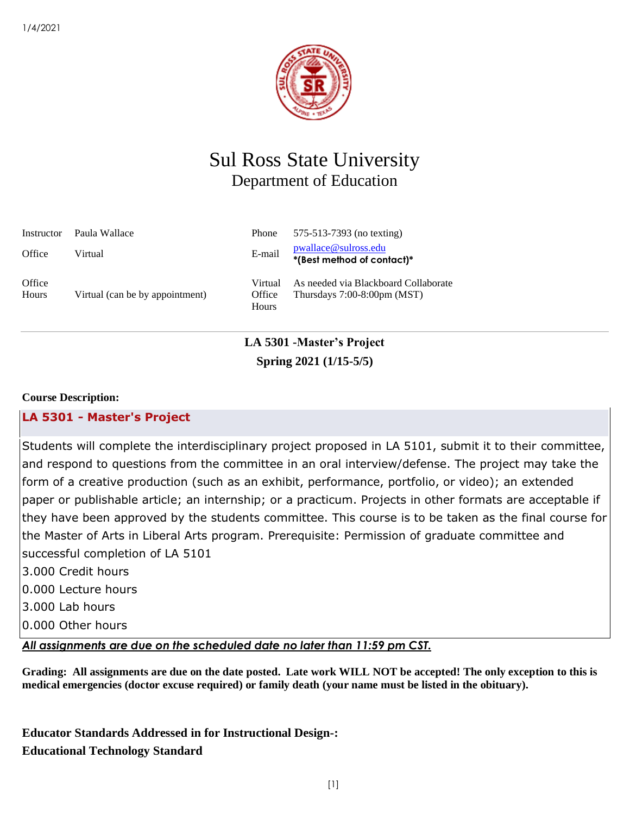

# Sul Ross State University Department of Education

| Instructor      | Paula Wallace                   | Phone                      | 575-513-7393 (no texting)                                              |
|-----------------|---------------------------------|----------------------------|------------------------------------------------------------------------|
| Office          | Virtual                         | E-mail                     | pwallace@sulross.edu<br>*(Best method of contact)*                     |
| Office<br>Hours | Virtual (can be by appointment) | Virtual<br>Office<br>Hours | As needed via Blackboard Collaborate<br>Thursdays $7:00-8:00$ pm (MST) |

# **LA 5301 -Master's Project Spring 2021 (1/15-5/5)**

### **Course Description:**

## **LA 5301 - [Master's Project](https://ssb.sulross.edu:8111/PROD/bwckctlg.p_disp_course_detail?cat_term_in=202120&subj_code_in=LA&crse_numb_in=5301)**

Students will complete the interdisciplinary project proposed in LA 5101, submit it to their committee, and respond to questions from the committee in an oral interview/defense. The project may take the form of a creative production (such as an exhibit, performance, portfolio, or video); an extended paper or publishable article; an internship; or a practicum. Projects in other formats are acceptable if they have been approved by the students committee. This course is to be taken as the final course for the Master of Arts in Liberal Arts program. Prerequisite: Permission of graduate committee and successful completion of LA 5101

- 3.000 Credit hours
- 0.000 Lecture hours
- 3.000 Lab hours
- 0.000 Other hours

*All assignments are due on the scheduled date no later than 11:59 pm CST.* 

**Grading: All assignments are due on the date posted. Late work WILL NOT be accepted! The only exception to this is medical emergencies (doctor excuse required) or family death (your name must be listed in the obituary).** 

**Educator Standards Addressed in for Instructional Design-: Educational Technology Standard**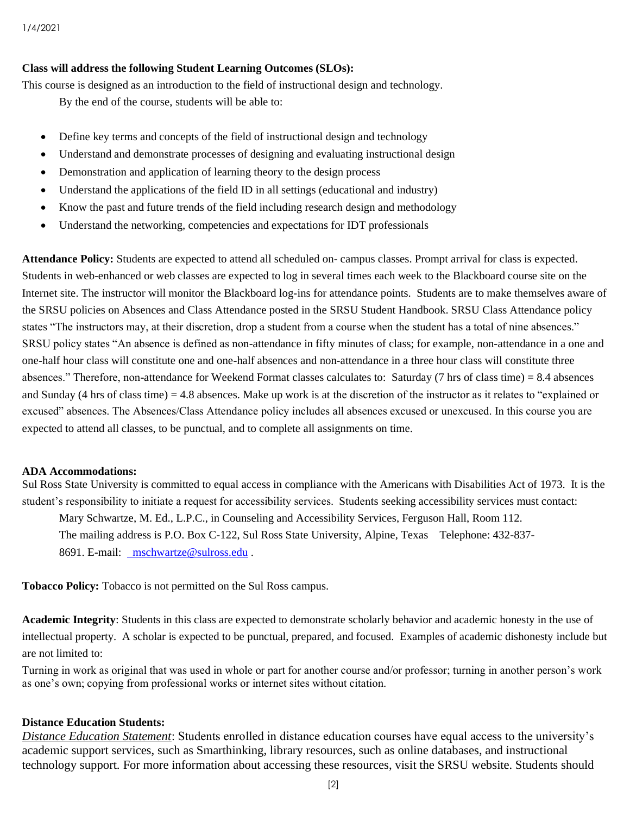#### **Class will address the following Student Learning Outcomes (SLOs):**

This course is designed as an introduction to the field of instructional design and technology.

By the end of the course, students will be able to:

- Define key terms and concepts of the field of instructional design and technology
- Understand and demonstrate processes of designing and evaluating instructional design
- Demonstration and application of learning theory to the design process
- Understand the applications of the field ID in all settings (educational and industry)
- Know the past and future trends of the field including research design and methodology
- Understand the networking, competencies and expectations for IDT professionals

**Attendance Policy:** Students are expected to attend all scheduled on- campus classes. Prompt arrival for class is expected. Students in web-enhanced or web classes are expected to log in several times each week to the Blackboard course site on the Internet site. The instructor will monitor the Blackboard log-ins for attendance points. Students are to make themselves aware of the SRSU policies on Absences and Class Attendance posted in the SRSU Student Handbook. SRSU Class Attendance policy states "The instructors may, at their discretion, drop a student from a course when the student has a total of nine absences." SRSU policy states "An absence is defined as non-attendance in fifty minutes of class; for example, non-attendance in a one and one-half hour class will constitute one and one-half absences and non-attendance in a three hour class will constitute three absences." Therefore, non-attendance for Weekend Format classes calculates to: Saturday (7 hrs of class time) = 8.4 absences and Sunday (4 hrs of class time) = 4.8 absences. Make up work is at the discretion of the instructor as it relates to "explained or excused" absences. The Absences/Class Attendance policy includes all absences excused or unexcused. In this course you are expected to attend all classes, to be punctual, and to complete all assignments on time.

#### **ADA Accommodations:**

Sul Ross State University is committed to equal access in compliance with the Americans with Disabilities Act of 1973. It is the student's responsibility to initiate a request for accessibility services. Students seeking accessibility services must contact: Mary Schwartze, M. Ed., L.P.C., in Counseling and Accessibility Services, Ferguson Hall, Room 112. The mailing address is P.O. Box C-122, Sul Ross State University, Alpine, Texas Telephone: 432-837- 8691. E-mail: [mschwartze@sulross.edu](mailto:%20%20mschwartze@sulross.edu) .

**Tobacco Policy:** Tobacco is not permitted on the Sul Ross campus.

**Academic Integrity**: Students in this class are expected to demonstrate scholarly behavior and academic honesty in the use of intellectual property. A scholar is expected to be punctual, prepared, and focused. Examples of academic dishonesty include but are not limited to:

Turning in work as original that was used in whole or part for another course and/or professor; turning in another person's work as one's own; copying from professional works or internet sites without citation.

#### **Distance Education Students:**

*Distance Education Statement*: Students enrolled in distance education courses have equal access to the university's academic support services, such as Smarthinking, library resources, such as online databases, and instructional technology support. For more information about accessing these resources, visit the SRSU website. Students should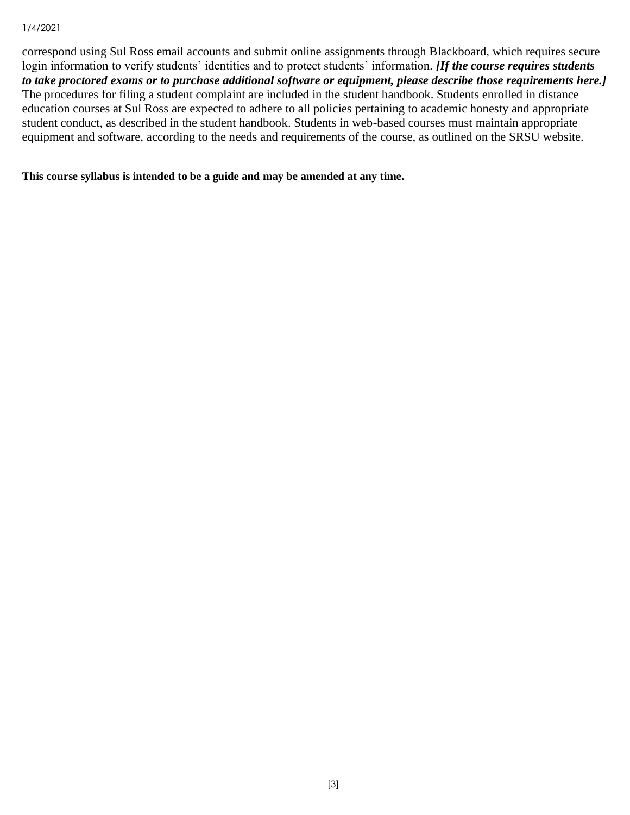#### 1/4/2021

correspond using Sul Ross email accounts and submit online assignments through Blackboard, which requires secure login information to verify students' identities and to protect students' information. *[If the course requires students to take proctored exams or to purchase additional software or equipment, please describe those requirements here.]* The procedures for filing a student complaint are included in the student handbook. Students enrolled in distance education courses at Sul Ross are expected to adhere to all policies pertaining to academic honesty and appropriate student conduct, as described in the student handbook. Students in web-based courses must maintain appropriate equipment and software, according to the needs and requirements of the course, as outlined on the SRSU website.

**This course syllabus is intended to be a guide and may be amended at any time.**